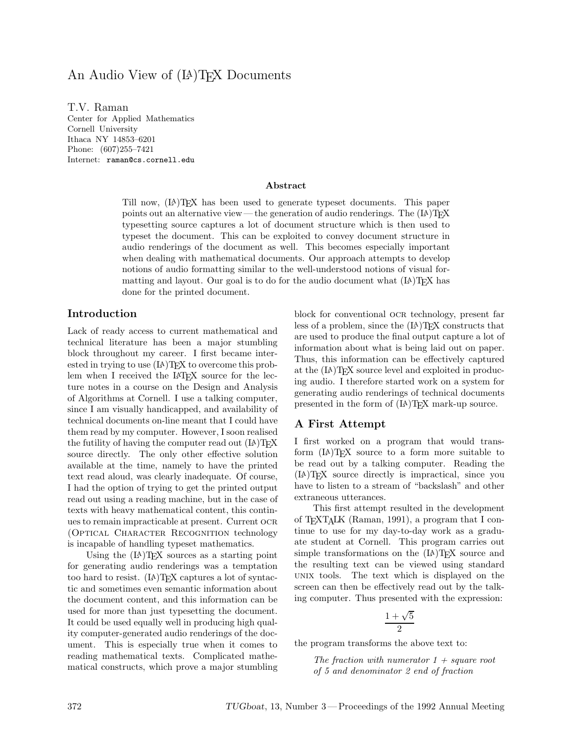# An Audio View of (LA)T<sub>EX</sub> Documents

T.V. Raman Center for Applied Mathematics Cornell University Ithaca NY 14853–6201 Phone: (607)255–7421 Internet: raman@cs.cornell.edu

#### **Abstract**

Till now, (LA)TEX has been used to generate typeset documents. This paper points out an alternative view— the generation of audio renderings. The  $(L)$ <sup>T</sup>FX typesetting source captures a lot of document structure which is then used to typeset the document. This can be exploited to convey document structure in audio renderings of the document as well. This becomes especially important when dealing with mathematical documents. Our approach attempts to develop notions of audio formatting similar to the well-understood notions of visual formatting and layout. Our goal is to do for the audio document what  $(L)$  T<sub>EX</sub> has done for the printed document.

### **Introduction**

Lack of ready access to current mathematical and technical literature has been a major stumbling block throughout my career. I first became interested in trying to use  $(IA)$ T<sub>E</sub>X to overcome this problem when I received the IAT<sub>EX</sub> source for the lecture notes in a course on the Design and Analysis of Algorithms at Cornell. I use a talking computer, since I am visually handicapped, and availability of technical documents on-line meant that I could have them read by my computer. However, I soon realised the futility of having the computer read out  $(L)$ <sup>T</sup> $\cancel{F}X$ source directly. The only other effective solution available at the time, namely to have the printed text read aloud, was clearly inadequate. Of course, I had the option of trying to get the printed output read out using a reading machine, but in the case of texts with heavy mathematical content, this continues to remain impracticable at present. Current ocr (Optical Character Recognition technology is incapable of handling typeset mathematics.

Using the  $(L)$ <sup>T</sup>FX sources as a starting point for generating audio renderings was a temptation too hard to resist. (LA)TEX captures a lot of syntactic and sometimes even semantic information about the document content, and this information can be used for more than just typesetting the document. It could be used equally well in producing high quality computer-generated audio renderings of the document. This is especially true when it comes to reading mathematical texts. Complicated mathematical constructs, which prove a major stumbling block for conventional ocr technology, present far less of a problem, since the  $(LA)$ T<sub>EX</sub> constructs that are used to produce the final output capture a lot of information about what is being laid out on paper. Thus, this information can be effectively captured at the (LA)TEX source level and exploited in producing audio. I therefore started work on a system for generating audio renderings of technical documents presented in the form of (LA)TEX mark-up source.

#### **A First Attempt**

I first worked on a program that would transform (LA)TEX source to a form more suitable to be read out by a talking computer. Reading the (LA)TEX source directly is impractical, since you have to listen to a stream of "backslash" and other extraneous utterances.

This first attempt resulted in the development of TEXTALK (Raman, 1991), a program that I continue to use for my day-to-day work as a graduate student at Cornell. This program carries out simple transformations on the  $(LA)TFX$  source and the resulting text can be viewed using standard unix tools. The text which is displayed on the screen can then be effectively read out by the talking computer. Thus presented with the expression:

$$
\frac{1+\sqrt{5}}{2}
$$

the program transforms the above text to:

*The fraction with numerator 1 + square root of 5 and denominator 2 end of fraction*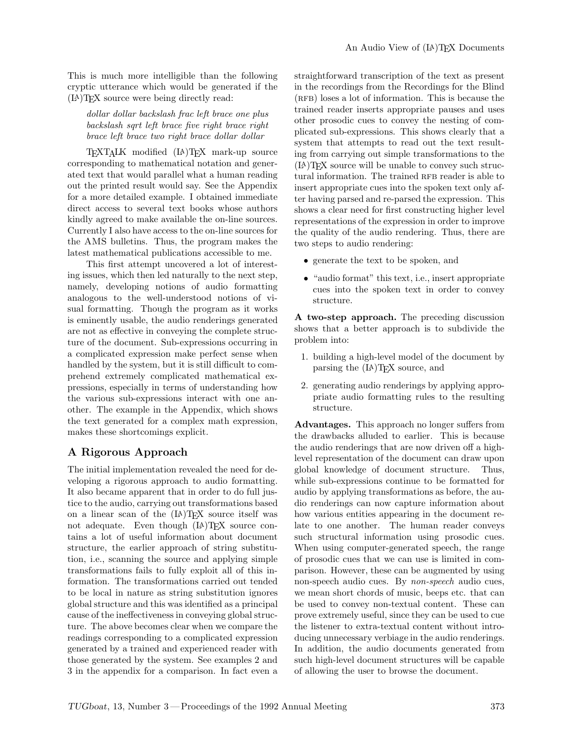This is much more intelligible than the following cryptic utterance which would be generated if the (LA)TEX source were being directly read:

*dollar dollar backslash frac left brace one plus backslash sqrt left brace five right brace right brace left brace two right brace dollar dollar*

TEXTALK modified (LA)TEX mark-up source corresponding to mathematical notation and generated text that would parallel what a human reading out the printed result would say. See the Appendix for a more detailed example. I obtained immediate direct access to several text books whose authors kindly agreed to make available the on-line sources. Currently I also have access to the on-line sources for the AMS bulletins. Thus, the program makes the latest mathematical publications accessible to me.

This first attempt uncovered a lot of interesting issues, which then led naturally to the next step, namely, developing notions of audio formatting analogous to the well-understood notions of visual formatting. Though the program as it works is eminently usable, the audio renderings generated are not as effective in conveying the complete structure of the document. Sub-expressions occurring in a complicated expression make perfect sense when handled by the system, but it is still difficult to comprehend extremely complicated mathematical expressions, especially in terms of understanding how the various sub-expressions interact with one another. The example in the Appendix, which shows the text generated for a complex math expression, makes these shortcomings explicit.

# **A Rigorous Approach**

The initial implementation revealed the need for developing a rigorous approach to audio formatting. It also became apparent that in order to do full justice to the audio, carrying out transformations based on a linear scan of the  $(L)$ T<sub>EX</sub> source itself was not adequate. Even though (IA)T<sub>E</sub>X source contains a lot of useful information about document structure, the earlier approach of string substitution, i.e., scanning the source and applying simple transformations fails to fully exploit all of this information. The transformations carried out tended to be local in nature as string substitution ignores global structure and this was identified as a principal cause of the ineffectiveness in conveying global structure. The above becomes clear when we compare the readings corresponding to a complicated expression generated by a trained and experienced reader with those generated by the system. See examples 2 and 3 in the appendix for a comparison. In fact even a

straightforward transcription of the text as present in the recordings from the Recordings for the Blind (RFB) loses a lot of information. This is because the trained reader inserts appropriate pauses and uses other prosodic cues to convey the nesting of complicated sub-expressions. This shows clearly that a system that attempts to read out the text resulting from carrying out simple transformations to the (LA)TEX source will be unable to convey such structural information. The trained RFB reader is able to insert appropriate cues into the spoken text only after having parsed and re-parsed the expression. This shows a clear need for first constructing higher level representations of the expression in order to improve the quality of the audio rendering. Thus, there are two steps to audio rendering:

- generate the text to be spoken, and
- "audio format" this text, i.e., insert appropriate cues into the spoken text in order to convey structure.

**A two-step approach.** The preceding discussion shows that a better approach is to subdivide the problem into:

- 1. building a high-level model of the document by parsing the (LA)TEX source, and
- 2. generating audio renderings by applying appropriate audio formatting rules to the resulting structure.

**Advantages.** This approach no longer suffers from the drawbacks alluded to earlier. This is because the audio renderings that are now driven off a highlevel representation of the document can draw upon global knowledge of document structure. Thus, while sub-expressions continue to be formatted for audio by applying transformations as before, the audio renderings can now capture information about how various entities appearing in the document relate to one another. The human reader conveys such structural information using prosodic cues. When using computer-generated speech, the range of prosodic cues that we can use is limited in comparison. However, these can be augmented by using non-speech audio cues. By *non-speech* audio cues, we mean short chords of music, beeps etc. that can be used to convey non-textual content. These can prove extremely useful, since they can be used to cue the listener to extra-textual content without introducing unnecessary verbiage in the audio renderings. In addition, the audio documents generated from such high-level document structures will be capable of allowing the user to browse the document.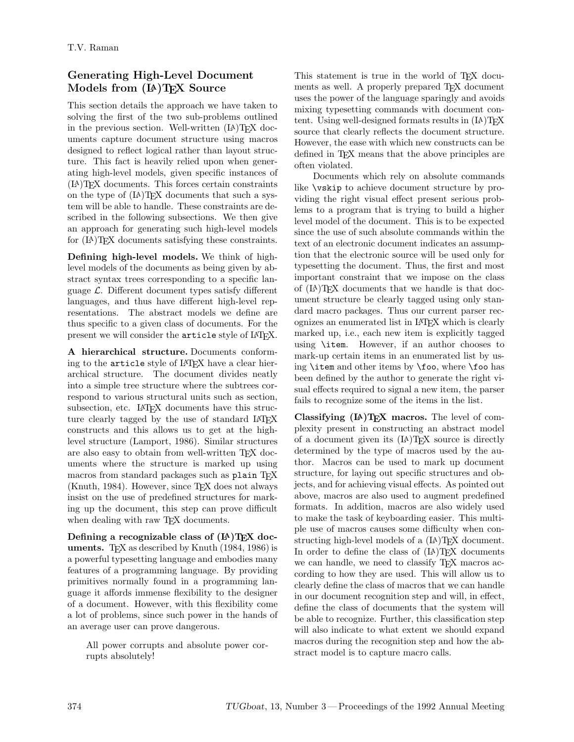# **Generating High-Level Document Models from (LA)TEX Source**

This section details the approach we have taken to solving the first of the two sub-problems outlined in the previous section. Well-written  $(LA)$ T<sub>E</sub>X documents capture document structure using macros designed to reflect logical rather than layout structure. This fact is heavily relied upon when generating high-level models, given specific instances of (LA)TEX documents. This forces certain constraints on the type of  $(LA)$ TEX documents that such a system will be able to handle. These constraints are described in the following subsections. We then give an approach for generating such high-level models for (LA)TEX documents satisfying these constraints.

**Defining high-level models.** We think of highlevel models of the documents as being given by abstract syntax trees corresponding to a specific language  $\mathcal{L}$ . Different document types satisfy different languages, and thus have different high-level representations. The abstract models we define are thus specific to a given class of documents. For the present we will consider the article style of LATEX.

**A hierarchical structure.** Documents conforming to the **article** style of LAT<sub>EX</sub> have a clear hierarchical structure. The document divides neatly into a simple tree structure where the subtrees correspond to various structural units such as section, subsection, etc. LAT<sub>F</sub>X documents have this structure clearly tagged by the use of standard LATEX constructs and this allows us to get at the highlevel structure (Lamport, 1986). Similar structures are also easy to obtain from well-written TEX documents where the structure is marked up using macros from standard packages such as plain TFX  $(Knuth, 1984)$ . However, since T<sub>F</sub>X does not always insist on the use of predefined structures for marking up the document, this step can prove difficult when dealing with raw T<sub>E</sub>X documents.

Defining a recognizable class of  $(\text{I}A)$ T<sub>E</sub>X doc**uments.** T<sub>E</sub>X as described by Knuth (1984, 1986) is a powerful typesetting language and embodies many features of a programming language. By providing primitives normally found in a programming language it affords immense flexibility to the designer of a document. However, with this flexibility come a lot of problems, since such power in the hands of an average user can prove dangerous.

All power corrupts and absolute power corrupts absolutely!

This statement is true in the world of TEX documents as well. A properly prepared T<sub>E</sub>X document uses the power of the language sparingly and avoids mixing typesetting commands with document content. Using well-designed formats results in  $(A)$ TFX source that clearly reflects the document structure. However, the ease with which new constructs can be defined in TEX means that the above principles are often violated.

Documents which rely on absolute commands like \vskip to achieve document structure by providing the right visual effect present serious problems to a program that is trying to build a higher level model of the document. This is to be expected since the use of such absolute commands within the text of an electronic document indicates an assumption that the electronic source will be used only for typesetting the document. Thus, the first and most important constraint that we impose on the class of (LA)TEX documents that we handle is that document structure be clearly tagged using only standard macro packages. Thus our current parser recognizes an enumerated list in LATEX which is clearly marked up, i.e., each new item is explicitly tagged using \item. However, if an author chooses to mark-up certain items in an enumerated list by using \item and other items by \foo, where \foo has been defined by the author to generate the right visual effects required to signal a new item, the parser fails to recognize some of the items in the list.

**Classifying (LA)TEX macros.** The level of complexity present in constructing an abstract model of a document given its  $(A)$ T<sub>F</sub>X source is directly determined by the type of macros used by the author. Macros can be used to mark up document structure, for laying out specific structures and objects, and for achieving visual effects. As pointed out above, macros are also used to augment predefined formats. In addition, macros are also widely used to make the task of keyboarding easier. This multiple use of macros causes some difficulty when constructing high-level models of a  $(L)$ T<sub>E</sub>X document. In order to define the class of  $(L)$ <sup>T</sup>FX documents we can handle, we need to classify T<sub>EX</sub> macros according to how they are used. This will allow us to clearly define the class of macros that we can handle in our document recognition step and will, in effect, define the class of documents that the system will be able to recognize. Further, this classification step will also indicate to what extent we should expand macros during the recognition step and how the abstract model is to capture macro calls.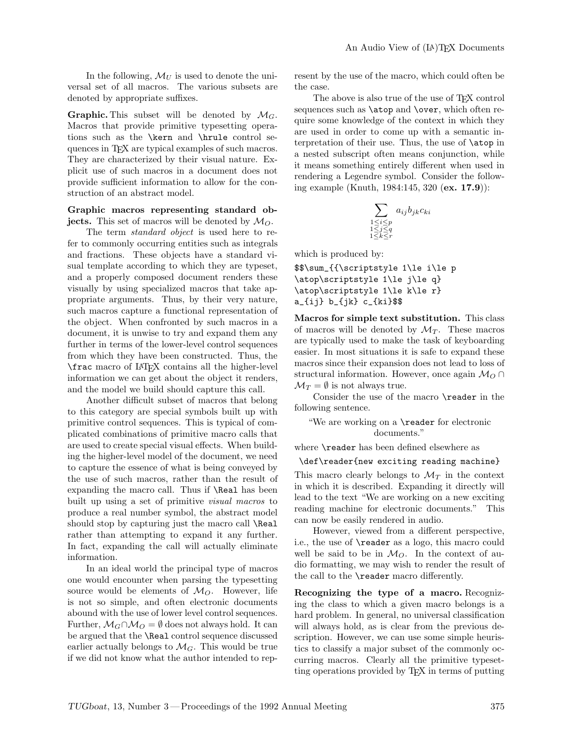In the following,  $\mathcal{M}_U$  is used to denote the universal set of all macros. The various subsets are denoted by appropriate suffixes.

**Graphic.** This subset will be denoted by  $\mathcal{M}_G$ . Macros that provide primitive typesetting operations such as the \kern and \hrule control sequences in TEX are typical examples of such macros. They are characterized by their visual nature. Explicit use of such macros in a document does not provide sufficient information to allow for the construction of an abstract model.

#### **Graphic macros representing standard objects.** This set of macros will be denoted by  $M_O$ .

The term *standard object* is used here to refer to commonly occurring entities such as integrals and fractions. These objects have a standard visual template according to which they are typeset, and a properly composed document renders these visually by using specialized macros that take appropriate arguments. Thus, by their very nature, such macros capture a functional representation of the object. When confronted by such macros in a document, it is unwise to try and expand them any further in terms of the lower-level control sequences from which they have been constructed. Thus, the \frac macro of LATEX contains all the higher-level information we can get about the object it renders, and the model we build should capture this call.

Another difficult subset of macros that belong to this category are special symbols built up with primitive control sequences. This is typical of complicated combinations of primitive macro calls that are used to create special visual effects. When building the higher-level model of the document, we need to capture the essence of what is being conveyed by the use of such macros, rather than the result of expanding the macro call. Thus if \Real has been built up using a set of primitive *visual macros* to produce a real number symbol, the abstract model should stop by capturing just the macro call \Real rather than attempting to expand it any further. In fact, expanding the call will actually eliminate information.

In an ideal world the principal type of macros one would encounter when parsing the typesetting source would be elements of  $M<sub>O</sub>$ . However, life is not so simple, and often electronic documents abound with the use of lower level control sequences. Further,  $\mathcal{M}_G \cap \mathcal{M}_O = \emptyset$  does not always hold. It can be argued that the \Real control sequence discussed earlier actually belongs to  $\mathcal{M}_G$ . This would be true if we did not know what the author intended to represent by the use of the macro, which could often be the case.

The above is also true of the use of T<sub>E</sub>X control sequences such as **\atop** and **\over**, which often require some knowledge of the context in which they are used in order to come up with a semantic interpretation of their use. Thus, the use of \atop in a nested subscript often means conjunction, while it means something entirely different when used in rendering a Legendre symbol. Consider the following example (Knuth, 1984:145, 320 (**ex. 17.9**)):

$$
\sum_{\substack{1 \le i \le p \\ 1 \le j \le q \\ 1 \le k \le r}} a_{ij} b_{jk} c_{ki}
$$

which is produced by:

\$\$\sum\_{{\scriptstyle 1\le i\le p \atop\scriptstyle 1\le j\le q} \atop\scriptstyle 1\le k\le r} a\_{ij} b\_{jk} c\_{ki}\$\$

**Macros for simple text substitution.** This class of macros will be denoted by  $\mathcal{M}_T$ . These macros are typically used to make the task of keyboarding easier. In most situations it is safe to expand these macros since their expansion does not lead to loss of structural information. However, once again M*<sup>O</sup>* ∩  $\mathcal{M}_T = \emptyset$  is not always true.

Consider the use of the macro \reader in the following sentence.

#### "We are working on a \reader for electronic documents."

where \reader has been defined elsewhere as

#### \def\reader{new exciting reading machine}

This macro clearly belongs to  $\mathcal{M}_T$  in the context in which it is described. Expanding it directly will lead to the text "We are working on a new exciting reading machine for electronic documents." This can now be easily rendered in audio.

However, viewed from a different perspective, i.e., the use of \reader as a logo, this macro could well be said to be in  $\mathcal{M}_O$ . In the context of audio formatting, we may wish to render the result of the call to the \reader macro differently.

**Recognizing the type of a macro.** Recognizing the class to which a given macro belongs is a hard problem. In general, no universal classification will always hold, as is clear from the previous description. However, we can use some simple heuristics to classify a major subset of the commonly occurring macros. Clearly all the primitive typesetting operations provided by TEX in terms of putting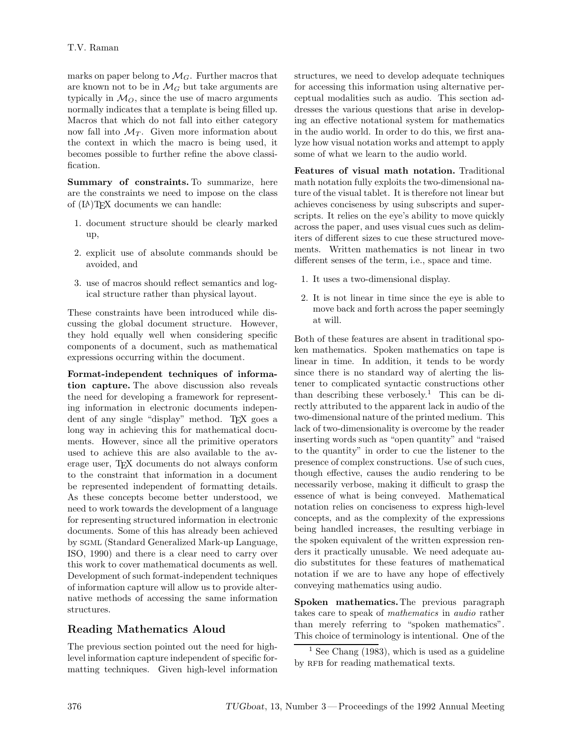marks on paper belong to  $\mathcal{M}_G$ . Further macros that are known not to be in  $\mathcal{M}_G$  but take arguments are typically in  $\mathcal{M}_O$ , since the use of macro arguments normally indicates that a template is being filled up. Macros that which do not fall into either category now fall into  $\mathcal{M}_T$ . Given more information about the context in which the macro is being used, it becomes possible to further refine the above classification.

**Summary of constraints.** To summarize, here are the constraints we need to impose on the class of (LA)TEX documents we can handle:

- 1. document structure should be clearly marked up,
- 2. explicit use of absolute commands should be avoided, and
- 3. use of macros should reflect semantics and logical structure rather than physical layout.

These constraints have been introduced while discussing the global document structure. However, they hold equally well when considering specific components of a document, such as mathematical expressions occurring within the document.

**Format-independent techniques of information capture.** The above discussion also reveals the need for developing a framework for representing information in electronic documents independent of any single "display" method. TEX goes a long way in achieving this for mathematical documents. However, since all the primitive operators used to achieve this are also available to the average user, TEX documents do not always conform to the constraint that information in a document be represented independent of formatting details. As these concepts become better understood, we need to work towards the development of a language for representing structured information in electronic documents. Some of this has already been achieved by sgml (Standard Generalized Mark-up Language, ISO, 1990) and there is a clear need to carry over this work to cover mathematical documents as well. Development of such format-independent techniques of information capture will allow us to provide alternative methods of accessing the same information structures.

# **Reading Mathematics Aloud**

The previous section pointed out the need for highlevel information capture independent of specific formatting techniques. Given high-level information structures, we need to develop adequate techniques for accessing this information using alternative perceptual modalities such as audio. This section addresses the various questions that arise in developing an effective notational system for mathematics in the audio world. In order to do this, we first analyze how visual notation works and attempt to apply some of what we learn to the audio world.

**Features of visual math notation.** Traditional math notation fully exploits the two-dimensional nature of the visual tablet. It is therefore not linear but achieves conciseness by using subscripts and superscripts. It relies on the eye's ability to move quickly across the paper, and uses visual cues such as delimiters of different sizes to cue these structured movements. Written mathematics is not linear in two different senses of the term, i.e., space and time.

- 1. It uses a two-dimensional display.
- 2. It is not linear in time since the eye is able to move back and forth across the paper seemingly at will.

Both of these features are absent in traditional spoken mathematics. Spoken mathematics on tape is linear in time. In addition, it tends to be wordy since there is no standard way of alerting the listener to complicated syntactic constructions other than describing these verbosely.<sup>1</sup> This can be directly attributed to the apparent lack in audio of the two-dimensional nature of the printed medium. This lack of two-dimensionality is overcome by the reader inserting words such as "open quantity" and "raised to the quantity" in order to cue the listener to the presence of complex constructions. Use of such cues, though effective, causes the audio rendering to be necessarily verbose, making it difficult to grasp the essence of what is being conveyed. Mathematical notation relies on conciseness to express high-level concepts, and as the complexity of the expressions being handled increases, the resulting verbiage in the spoken equivalent of the written expression renders it practically unusable. We need adequate audio substitutes for these features of mathematical notation if we are to have any hope of effectively conveying mathematics using audio.

**Spoken mathematics.**The previous paragraph takes care to speak of *mathematics* in *audio* rather than merely referring to "spoken mathematics". This choice of terminology is intentional. One of the

 $<sup>1</sup>$  See Chang (1983), which is used as a guideline</sup> by RFB for reading mathematical texts.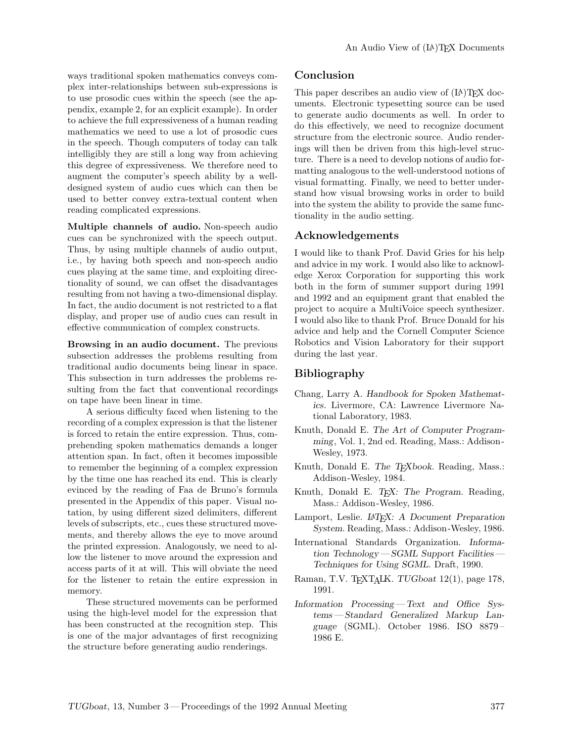ways traditional spoken mathematics conveys complexinter-relationships between sub-expressions is to use prosodic cues within the speech (see the appendix, example 2, for an explicit example). In order to achieve the full expressiveness of a human reading mathematics we need to use a lot of prosodic cues in the speech. Though computers of today can talk intelligibly they are still a long way from achieving this degree of expressiveness. We therefore need to augment the computer's speech ability by a welldesigned system of audio cues which can then be used to better convey extra-textual content when reading complicated expressions.

**Multiple channels of audio.** Non-speech audio cues can be synchronized with the speech output. Thus, by using multiple channels of audio output, i.e., by having both speech and non-speech audio cues playing at the same time, and exploiting directionality of sound, we can offset the disadvantages resulting from not having a two-dimensional display. In fact, the audio document is not restricted to a flat display, and proper use of audio cues can result in effective communication of complex constructs.

**Browsing in an audio document.** The previous subsection addresses the problems resulting from traditional audio documents being linear in space. This subsection in turn addresses the problems resulting from the fact that conventional recordings on tape have been linear in time.

A serious difficulty faced when listening to the recording of a complex expression is that the listener is forced to retain the entire expression. Thus, comprehending spoken mathematics demands a longer attention span. In fact, often it becomes impossible to remember the beginning of a complex expression by the time one has reached its end. This is clearly evinced by the reading of Faa de Bruno's formula presented in the Appendixof this paper. Visual notation, by using different sized delimiters, different levels of subscripts, etc., cues these structured movements, and thereby allows the eye to move around the printed expression. Analogously, we need to allow the listener to move around the expression and access parts of it at will. This will obviate the need for the listener to retain the entire expression in memory.

These structured movements can be performed using the high-level model for the expression that has been constructed at the recognition step. This is one of the major advantages of first recognizing the structure before generating audio renderings.

# **Conclusion**

This paper describes an audio view of  $(LA)$ T<sub>E</sub>X documents. Electronic typesetting source can be used to generate audio documents as well. In order to do this effectively, we need to recognize document structure from the electronic source. Audio renderings will then be driven from this high-level structure. There is a need to develop notions of audio formatting analogous to the well-understood notions of visual formatting. Finally, we need to better understand how visual browsing works in order to build into the system the ability to provide the same functionality in the audio setting.

## **Acknowledgements**

I would like to thank Prof. David Gries for his help and advice in my work. I would also like to acknowledge Xerox Corporation for supporting this work both in the form of summer support during 1991 and 1992 and an equipment grant that enabled the project to acquire a MultiVoice speech synthesizer. I would also like to thank Prof. Bruce Donald for his advice and help and the Cornell Computer Science Robotics and Vision Laboratory for their support during the last year.

# **Bibliography**

- Chang, Larry A. *Handbook for Spoken Mathematics*. Livermore, CA: Lawrence Livermore National Laboratory, 1983.
- Knuth, Donald E. *The Art of Computer Programming*, Vol. 1, 2nd ed. Reading, Mass.: Addison - Wesley, 1973.
- Knuth, Donald E. *The TEXbook*. Reading, Mass.: Addison -Wesley, 1984.
- Knuth, Donald E. *TEX: The Program*. Reading, Mass.: Addison-Wesley, 1986.
- Lamport, Leslie. *LATEX: A Document Preparation System.* Reading, Mass.: Addison-Wesley, 1986.
- International Standards Organization. *Information Technology— SGMLSupport Facilities— Techniques for Using SGML*. Draft, 1990.
- Raman, T.V. TEXTALK. *TUGboat* 12(1), page 178, 1991.
- *Information Processing— Text and Office Systems — Standard Generalized Markup Language* (SGML). October 1986. ISO 8879 – 1986 E.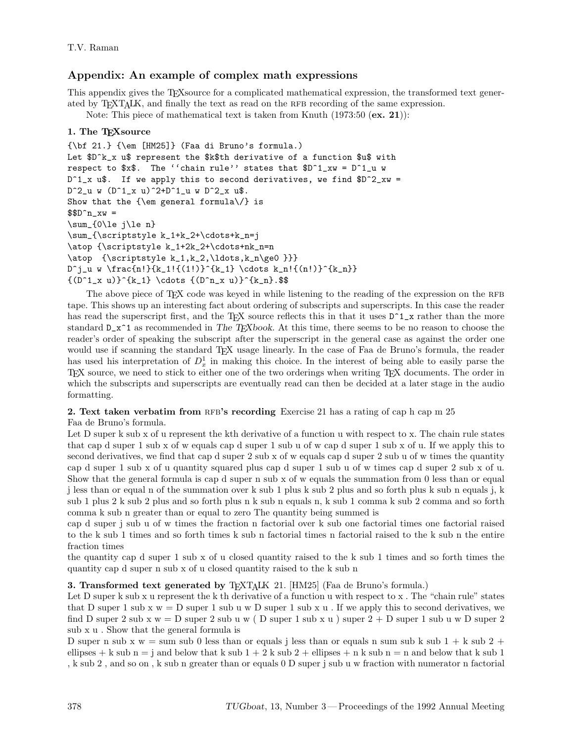# **Appendix: An example of complex math expressions**

This appendix gives the TEX source for a complicated mathematical expression, the transformed text generated by T<sub>EXTALK</sub>, and finally the text as read on the RFB recording of the same expression.

Note: This piece of mathematical text is taken from Knuth (1973:50 (**ex. 21**)):

## **1. The TEXsource**

```
{\bf 21.} {\em [HM25]} (Faa di Bruno's formula.)
Let $D^k_x u$ represent the $k$th derivative of a function $u$ with
respect to x\. The ''chain rule'' states that D^1_xxw = D^1_uwD^1_x u$. If we apply this to second derivatives, we find $D^2_xw =
D^2_u w (D^1_x u)^2+D^1_u w D^2_x u$.
Show that the \{\text{sem} general formula\}/\} is
$D^n_xw =\sum_{0\le j\le n}
\sum_{\scriptstyle k_1+k_2+\cdots+k_n=j
\atop {\scriptstyle k_1+2k_2+\cdots+nk_n=n
\atop {\scriptstyle k_1,k_2,\ldots,k_n\ge0 }}}
D^j_u w \frac{n!}{k_1!{(1!)}^{k_1} \cdots k_n!{(n!)}^{k_n}}
{(D^1_x u)}^{k_1} \cdots {D^n_x u}^{k_n}.
```
The above piece of TEX code was keyed in while listening to the reading of the expression on the RFB tape. This shows up an interesting fact about ordering of subscripts and superscripts. In this case the reader has read the superscript first, and the TFX source reflects this in that it uses  $D^1_x$  rather than the more standard D\_x^1 as recommended in *The TEXbook*. At this time, there seems to be no reason to choose the reader's order of speaking the subscript after the superscript in the general case as against the order one would use if scanning the standard TEX usage linearly. In the case of Faa de Bruno's formula, the reader has used his interpretation of  $D_x^1$  in making this choice. In the interest of being able to easily parse the TEX source, we need to stick to either one of the two orderings when writing TEX documents. The order in which the subscripts and superscripts are eventually read can then be decided at a later stage in the audio formatting.

### **2. Text taken verbatim from RFB's recording** Exercise 21 has a rating of cap h cap m 25

Faa de Bruno's formula.

Let D super k sub x of u represent the kth derivative of a function u with respect to x. The chain rule states that cap d super 1 sub xof w equals cap d super 1 sub u of w cap d super 1 sub xof u. If we apply this to second derivatives, we find that cap d super 2 sub x of w equals cap d super 2 sub u of w times the quantity cap d super 1 sub xof u quantity squared plus cap d super 1 sub u of w times cap d super 2 sub xof u. Show that the general formula is cap d super n sub x of w equals the summation from 0 less than or equal j less than or equal n of the summation over k sub 1 plus k sub 2 plus and so forth plus k sub n equals j, k sub 1 plus 2 k sub 2 plus and so forth plus n k sub n equals n, k sub 1 comma k sub 2 comma and so forth comma k sub n greater than or equal to zero The quantity being summed is

cap d super j sub u of w times the fraction n factorial over k sub one factorial times one factorial raised to the k sub 1 times and so forth times k sub n factorial times n factorial raised to the k sub n the entire fraction times

the quantity cap d super 1 sub xof u closed quantity raised to the k sub 1 times and so forth times the quantity cap d super n sub xof u closed quantity raised to the k sub n

### **3. Transformed text generated by** T<sub>EXTALK</sub> 21. [HM25] (Faa de Bruno's formula.)

Let D super k sub x u represent the k th derivative of a function u with respect to x. The "chain rule" states that D super 1 sub x  $w = D$  super 1 sub u w D super 1 sub x u . If we apply this to second derivatives, we find D super 2 sub x  $w = D$  super 2 sub u w (D super 1 sub x u ) super  $2 + D$  super 1 sub u w D super 2 sub xu . Show that the general formula is

D super n sub x  $w =$  sum sub 0 less than or equals j less than or equals n sum sub k sub  $1 + k$  sub  $2 +$ ellipses + k sub  $n = j$  and below that k sub  $1 + 2$  k sub  $2 +$  ellipses + n k sub  $n = n$  and below that k sub 1 , k sub 2 , and so on , k sub n greater than or equals 0 D super j sub u w fraction with numerator n factorial